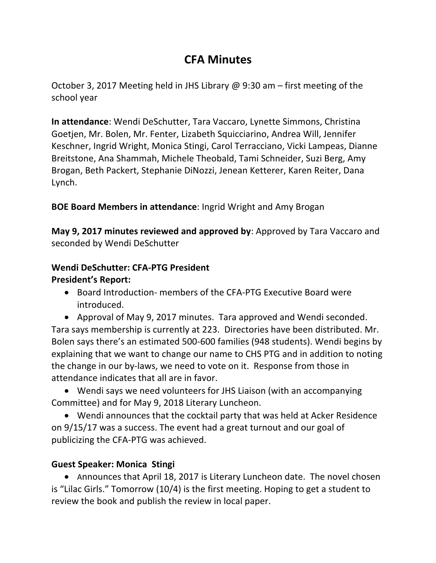# **CFA Minutes**

October 3, 2017 Meeting held in JHS Library @ 9:30 am – first meeting of the school year

**In attendance:** Wendi DeSchutter, Tara Vaccaro, Lynette Simmons, Christina Goetjen, Mr. Bolen, Mr. Fenter, Lizabeth Squicciarino, Andrea Will, Jennifer Keschner, Ingrid Wright, Monica Stingi, Carol Terracciano, Vicki Lampeas, Dianne Breitstone, Ana Shammah, Michele Theobald, Tami Schneider, Suzi Berg, Amy Brogan, Beth Packert, Stephanie DiNozzi, Jenean Ketterer, Karen Reiter, Dana Lynch.

**BOE Board Members in attendance:** Ingrid Wright and Amy Brogan

**May 9, 2017 minutes reviewed and approved by:** Approved by Tara Vaccaro and seconded by Wendi DeSchutter

# Wendi DeSchutter: CFA-PTG President

## **President's Report:**

- Board Introduction- members of the CFA-PTG Executive Board were introduced.
- Approval of May 9, 2017 minutes. Tara approved and Wendi seconded. Tara says membership is currently at 223. Directories have been distributed. Mr. Bolen says there's an estimated 500-600 families (948 students). Wendi begins by explaining that we want to change our name to CHS PTG and in addition to noting the change in our by-laws, we need to vote on it. Response from those in attendance indicates that all are in favor.
- Wendi says we need volunteers for JHS Liaison (with an accompanying Committee) and for May 9, 2018 Literary Luncheon.
- Wendi announces that the cocktail party that was held at Acker Residence on 9/15/17 was a success. The event had a great turnout and our goal of publicizing the CFA-PTG was achieved.

# **Guest Speaker: Monica Stingi**

• Announces that April 18, 2017 is Literary Luncheon date. The novel chosen is "Lilac Girls." Tomorrow (10/4) is the first meeting. Hoping to get a student to review the book and publish the review in local paper.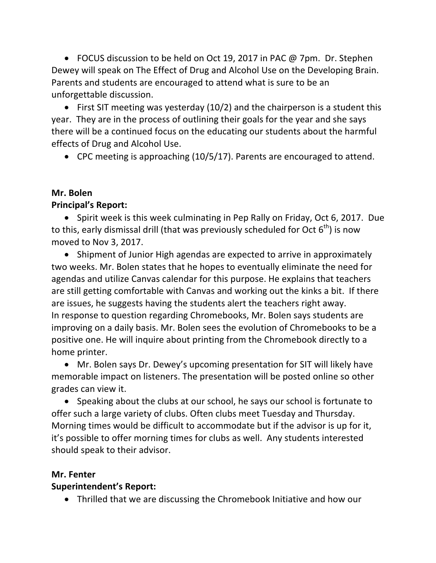• FOCUS discussion to be held on Oct 19, 2017 in PAC  $@$  7pm. Dr. Stephen Dewey will speak on The Effect of Drug and Alcohol Use on the Developing Brain. Parents and students are encouraged to attend what is sure to be an unforgettable discussion.

• First SIT meeting was yesterday  $(10/2)$  and the chairperson is a student this year. They are in the process of outlining their goals for the year and she says there will be a continued focus on the educating our students about the harmful effects of Drug and Alcohol Use.

• CPC meeting is approaching  $(10/5/17)$ . Parents are encouraged to attend.

#### **Mr. Bolen Principal's Report:**

• Spirit week is this week culminating in Pep Rally on Friday, Oct 6, 2017. Due to this, early dismissal drill (that was previously scheduled for Oct  $6^{th}$ ) is now moved to Nov 3, 2017.

• Shipment of Junior High agendas are expected to arrive in approximately two weeks. Mr. Bolen states that he hopes to eventually eliminate the need for agendas and utilize Canvas calendar for this purpose. He explains that teachers are still getting comfortable with Canvas and working out the kinks a bit. If there are issues, he suggests having the students alert the teachers right away. In response to question regarding Chromebooks, Mr. Bolen says students are improving on a daily basis. Mr. Bolen sees the evolution of Chromebooks to be a positive one. He will inquire about printing from the Chromebook directly to a home printer.

• Mr. Bolen says Dr. Dewey's upcoming presentation for SIT will likely have memorable impact on listeners. The presentation will be posted online so other grades can view it.

• Speaking about the clubs at our school, he says our school is fortunate to offer such a large variety of clubs. Often clubs meet Tuesday and Thursday. Morning times would be difficult to accommodate but if the advisor is up for it, it's possible to offer morning times for clubs as well. Any students interested should speak to their advisor.

# **Mr. Fenter**

## **Superintendent's Report:**

• Thrilled that we are discussing the Chromebook Initiative and how our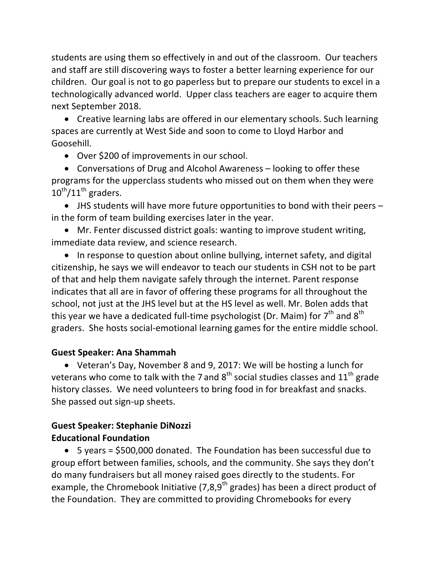students are using them so effectively in and out of the classroom. Our teachers and staff are still discovering ways to foster a better learning experience for our children. Our goal is not to go paperless but to prepare our students to excel in a technologically advanced world. Upper class teachers are eager to acquire them next September 2018. 

• Creative learning labs are offered in our elementary schools. Such learning spaces are currently at West Side and soon to come to Lloyd Harbor and Goosehill. 

• Over \$200 of improvements in our school.

• Conversations of Drug and Alcohol Awareness  $-$  looking to offer these programs for the upperclass students who missed out on them when they were  $10^{th}/11^{th}$  graders.

• JHS students will have more future opportunities to bond with their peers  $$ in the form of team building exercises later in the year.

• Mr. Fenter discussed district goals: wanting to improve student writing, immediate data review, and science research.

• In response to question about online bullying, internet safety, and digital citizenship, he says we will endeavor to teach our students in CSH not to be part of that and help them navigate safely through the internet. Parent response indicates that all are in favor of offering these programs for all throughout the school, not just at the JHS level but at the HS level as well. Mr. Bolen adds that this year we have a dedicated full-time psychologist (Dr. Maim) for  $7<sup>th</sup>$  and  $8<sup>th</sup>$ graders. She hosts social-emotional learning games for the entire middle school.

## **Guest Speaker: Ana Shammah**

• Veteran's Day, November 8 and 9, 2017: We will be hosting a lunch for veterans who come to talk with the 7 and  $8<sup>th</sup>$  social studies classes and  $11<sup>th</sup>$  grade history classes. We need volunteers to bring food in for breakfast and snacks. She passed out sign-up sheets.

# **Guest Speaker: Stephanie DiNozzi Educational Foundation**

• 5 years =  $$500,000$  donated. The Foundation has been successful due to group effort between families, schools, and the community. She says they don't do many fundraisers but all money raised goes directly to the students. For example, the Chromebook Initiative  $(7,8,9^{\text{th}} \text{ grades})$  has been a direct product of the Foundation. They are committed to providing Chromebooks for every